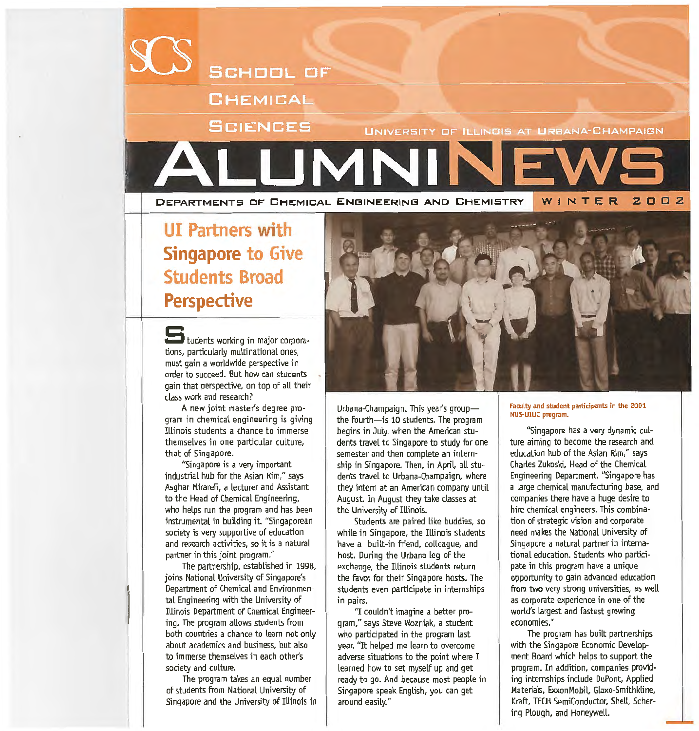

# **UI Partners with Singapore to Give Students Broad Perspective**

tudents working in major corporations, particularly multinational ones, must gain a worldwide perspective in order to succeed. But how can students gain that perspective, on top of all their class work and research?

A new joint master's degree program in chemical engineering is giving Illinois students a chance to immerse themselves in one particular culture, that of Singapore.

"Singapore is a very important industrial hub for the Asian Rim," says Asghar Mirarefi, a lecturer and Assistant to the Head of Chemical Engineering, who helps run the program and has been instrumental in building it. "Singaporean society is very supportive of education and research activities, so it is a natural partner in this joint program."

The partnership, established in 1998, joins National University of Singapore's Department of Chemical and Environmental Engineering with the University of Illinois Department of Chemical Engineering. The program allows students from both countries a chance to learn not only about academics and business, but also to immerse themselves in each other's society and culture.

I

The program takes an equal number of students from National University of Singapore and the University of IUinois in



Urbana-Champaign. This year's groupthe fourth-is 10 students. The program begins in July, when the American students travel to Singapore to study for one semester and then complete an internship in Singapore. Then, in April, all students travel to Urbana-Champaign, where they intern at an American company until August. In August they take classes at the University of Illinois.

Students are paired like buddies, so while in Singapore, the Illinois students have a built-in friend, colleague, and host. During the Urbana leg of the exchange, the Illinois students return the favor for their Singapore hosts. The students even participate in internships in pairs.

'1 couldn't imagine a better program," says Steve Wozniak, a student who participated in the program last year. "It helped me learn to overcome adverse situations to the point where I learned how to set myself up and get ready to go. And because most people in Singapore speak English, you can get around easily."

#### Faculty and student participants in the 2001 NU5-UIUC program.

"Singapore has a very dynamic culture aiming to become the research and education hub of the Asian Rim," says Charles Zukoski, Head of the Chemical Engineering Department. "Singapore has a large chemical manufacturing base, and companies there have a huge desire to hire chemical engineers. This combination of strategic vision and corporate need makes the National University of Singapore a natural partner in international education. Students who participate in this program have a unique opportunity to gain advanced education from two very strong universities, as well as corporate experience in one of the world's largest and fastest growing economies."

The program has built partnerships with the Singapore Economic Development Board which helps to support the program. In addition, companies providing internships include DuPont, Applied Materials, ExxonMobil, Glaxo-Smithkline, Kraft, TECH SemiConductor, ShelL Schering Plough, and Honeywell.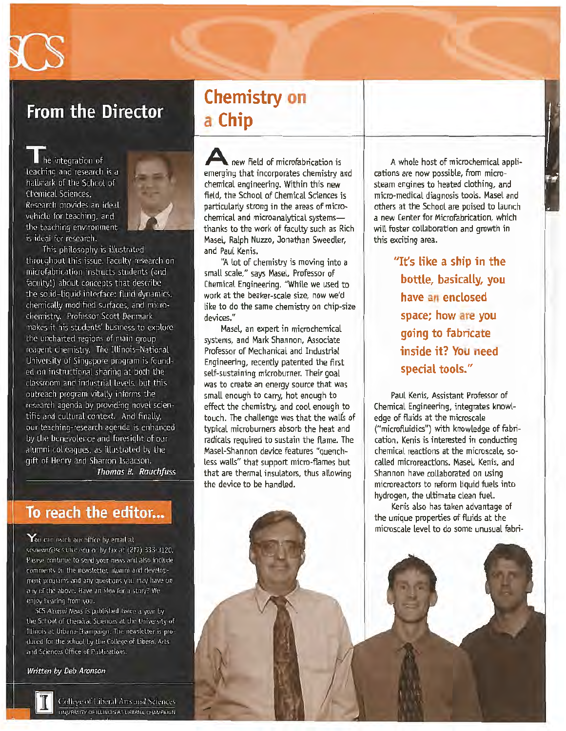

# **From the Director**

he integration of teaching and research is a hallmark of the School of Chemical Sciences. Research provides an ideal vehicle for teaching, and the teaching environment is ideal for research.



This philosophy is illustrated throughout this issue. Faculty research on microfabrication instructs students (and faculty!) about concepts that describe the solid-liquid interface: fluid dynamics, chemically modified surfaces, and microchemistry. Professor Scott Denmark makes it his students' business to explore the uncharted regions of main group reagent chemistry. The Illinois-National University of Singapore program is founded on instructional sharing at both the classroom and industrial levels, but this outreach program vitally informs the research agenda by providing novel scientific and cultural context. And finally, our teaching-research agenda is enhanced by the benevolence and foresight of our alumni colleagues, as illustrated by the gift of Henry and Sharron Isaacson. Thomas B. Rauchfuss

### To reach the editor...

 $\mathsf{Y}_{\mathsf{ou}}$  can reach our office by email at scsnews@scs.uiuc.edu or by fax at (217) 333-3120. Please continue to send your news and also include comments on the newsletter, alumni and development programs and any questions you may have on any of the above. Have an idea for a story? We enjoy hearing from you.

SCS Alumni News is published twice a year by the School of Chemical Sciences at the University of Illinois at Urbana-Champaign. The newsletter is produced for the school by the College of Liberal Arts and Sciences Office of Publications.

#### Written by Deb Aronson



College of Liberal Arts and Sciences UNIVERSITY OF ILLINGIS AT URBANA-CHAMPAIGN

# **Chemistry on a Chip**

**A** new field of microfabrication is emerging that incorporates chemistry and chemical engineering. Within this new field, the School of Chemical Sciences is particularly strong in the areas of microchemical and microanalytical systemsthanks to the work of faculty such as Rich Masel, Ralph Nuzzo, Jonathan Sweedler, and Paul Kenis.

"A lot of chemistry is moving into a small scale," says Masel. Professor of Chemical Engineering. "While we used to work at the beaker-scale size, now we'd like to do the same chemistry on chip-size devices."

Masel. an expert in microchemical systems, and Mark Shannon, Associate Professor of Mechanical and Industrial Engineering, recently patented the first self-sustaining microburner. Their goal was to create an energy source that was small enough to carry, hot enough to effect the chemistry, and cool enough to touch. The challenge was that the walfs of typical microburners absorb the heat and radicals required to sustain the flame. The Masel-Shannon device features "quenchless walls" that support micro-flames but that are thermal insulators, thus allowing the device to be handled.

A whole host of microchemical applications are now possible, from microsteam engines to heated clothing, and micro-medical diagnosis tools. Masel and others at the School are poised to launch a new Center for Microfabrication, which wilt foster collaboration and growth in this exciting area.

> **''It's like a ship in the bottle, basically, you have an enclosed space; how are you going to fabricate inside it? You need special tools."**

Paul Kenis, Assistant Professor of Chemical Engineering, integrates knowledge of fluids at the microscale ("microfluidics") with knowledge of fabrication. Kenis is interested in conducting chemical reactions at the microscale, socalled microreactions. Masel. Kenis, and Shannon have collaborated on using microreactors to reform Liquid fuels into hydrogen, the ultimate clean fuel.

Kenis also has taken advantage of the unique properties of fluids at the microscale level to do some unusual fabri-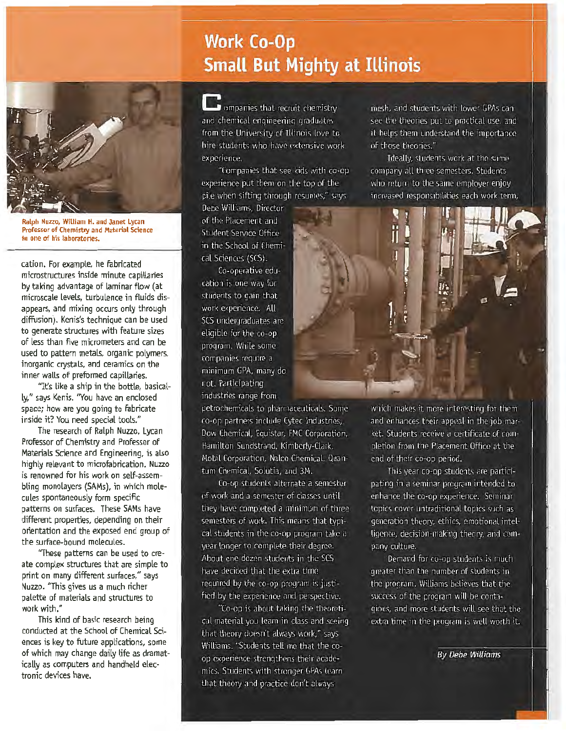# **Work Co-Op Small But Mighty at Illinois**



Ralph Nuzzo, William H. and Janet Lycan Professor of Chemistry and Material Science in one of his laboratories.

cation. For example, he fabricated microstructures inside minute capillaries by taking advantage of laminar flow (at microscale levels, turbulence in fluids disappears, and mixing occurs only through diffusion). Kenis's technique can be used to generate structures with feature sizes of Less than five micrometers and can be used to pattern metals, organic polymers, inorganic crystals, and ceramics on the inner walls of preformed capillaries.

"It's like a ship in the bottle, basical-Ly," says Kenis. "You have an enclosed space; how are you going to fabricate inside it? You need special tools."

The research of Ralph Nuzzo, Lycan Professor of Chemistry and Professor of Materials Science and Engineering, is also highly relevant to microfabrication. Nuzzo is renowned for his work on self-assembling monolayers (SAMs), in which molecules spontaneously form specific patterns on surfaces. These SAMs have different properties, depending on their orientation and the exposed end group of the surface-bound molecules.

"These patterns can be used to create complex structures that are simple to print on many different surfaces," says Nuzzo. "This gives us a much richer palette of materials and structures to work with."

This kind of basic research being conducted at the School of Chemical Sciences is key to future applications, some of which may change daily life as dramatically as computers and handheld electronic devices have.

**D** ompanies that recruit chemistry and chemical engineering graduates. from the University of Illinois love to hire students who have extensive work experience.

"Companies that see kids with co-opexperience put them on the top of the pile when sifting through resumes," says

Debe Williams, Director of the Placement and Student Service Office in the School of Chemical Sciences (SCS).

Co-operative education is one way for students to gain that work experience. All SCS undergraduates are eligible for the co-op program. While some companies require a minimum GPA, many do not. Participating industries range from

petrochemicals to pharmaceuticals. Some co-on partners include Cytec Industries, Dow Chemical, Equistar, FMC Corporation, Hamilton Sundstrand, Kimberly-Clark, Mobil Corporation, Nalco Chemical, Quantum Chemical, Solutia, and 3M.

Co-op students alternate a semester of work and a semester of classes until they have completed a minimum of three semesters of work. This means that typical students in the co-op program take a year longer to complete their degree. About one dozen students in the SCS have decided that the extra time required by the co-op program is justified by the experience and perspective.

"Co-op is about taking the theoretical material you learn in class and seeing that theory doesn't always work," says Williams. "Students tell me that the coop experience strengthens their academics. Students with stronger GPAs learn that theory and practice don't always

mesh, and students with lower GPAs can see the theories put to practical use, and it helps them understand the importance of those theories."

Ideally, students work at the same company all three semesters. Students who return to the same employer enjoy increased responsibilities each work term,



which makes it more interesting for them and enhances their appeal in the job market. Students receive a certificate of completion from the Placement Office at the end of their co-op period.

This year co-op students are participating in a seminar program intended to enhance the co-op experience. Seminar topics cover untraditional topics such as generation theory, ethics, emotional intelligence, decision-making theory, and company culture.

Demand for co-op students is much greater than the number of students in the program, Williams believes that the success of the program will be contagious, and more students will see that the extra time in the program is well worth it.

**By Debe Williams**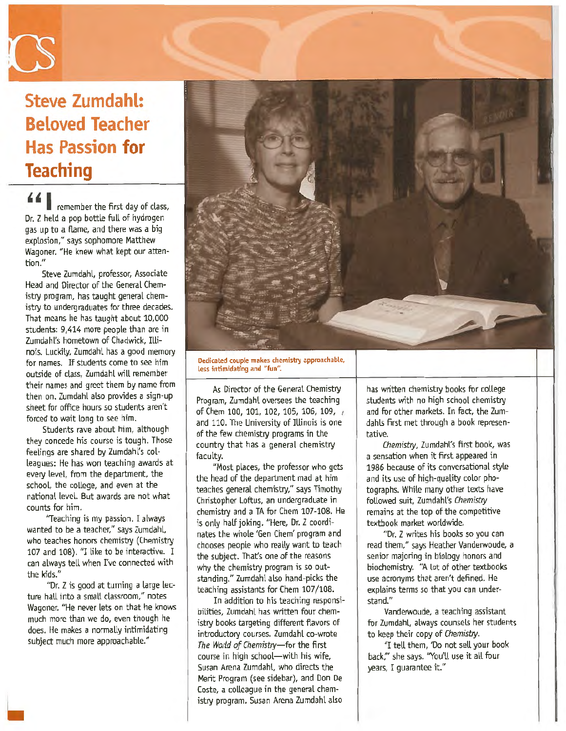

# **Steve Zumdahl: Beloved Teacher Has Passion for Teaching**

' ' I remember the first day of class, Dr. Z held a pop bottle full of hydrogen gas up to a flame, and there was a big explosion," says sophomore Matthew Wagoner. "He knew what kept our attention."

Steve Zumdahl, professor, Associate Head and Director of the General Chemistry program, has taught general chemistry to undergraduates for three decades. That means he has taught about 10,000 students: 9,414 more people than are in Zumdahl's hometown of Chadwick, Illinois. Luckily. Zumdahl has a good memory for names. If students come to see him outside of class, Zumdahl will remember their names and greet them by name from then on. Zumdahl also provides a sign-up sheet for office hours so students aren't forced to wait long to see him.

Students rave about him, although they concede his course is tough. Those feelings are shared by Zumdahl's colleagues: He has won teaching awards at every level, from the department, the school, the college, and even at the national level. But awards are not what counts for him.

"Teaching is my passion. I always wanted to be a teacher," says Zumdahl, who teaches honors chemistry (Chemistry 107 and 108). "I like to be interactive. I can always tell when I've connected with the kids."

"Dr. Z is good at turning a large lecture hall into a small classroom," notes Wagoner. "He never lets on that he knows much more than we do, even though he does. He makes a normally intimidating subject much more approachable."



Dedicated couple makes chemistry approachable, less intimidating and "fun".

As Director of the General Chemistry Program, Zumdahl oversees the teaching of Chern 100, 101, 102, 105, 106, 109, *r*  and 110. The University of IUinois is one of the few chemistry programs in the country that has a general chemistry faculty.

"Most places, the professor who gets the head of the department mad at him teaches general chemistry," says Timothy Christopher Loftus, an undergraduate in chemistry and a TA for Chem 107-108. He is only half joking. "Here, Dr. Z coordinates the whole 'Gen Chern' program and chooses people who really want to teach the subject. That's one of the reasons why the chemistry program is so outstanding." Zumdaht also hand-picks the teaching assistants for Chem 107/108.

In addition to his teaching responsibilities, Zumdahl has written four chemistry books targeting different flavors of introductory courses. Zumdahl co-wrote The World *of* Chemjstry-for the first course in high school-with his wife, Susan Arena Zumdaht, who directs the Merit Program (see sidebar), and Don De Coste, a colleague in the general chemistry program. Susan Arena Zumdahl also

has written chemistry books for college students with no high school chemistry and for other markets. In fact, the Zumdahls first met through a book representative.

Chemistry, Zumdahl's first book, was a sensation when it first appeared in 1986 because of its conversational style and its use of high-quality color photographs. While many other texts have followed suit, Zumdahl's Chemistry remains at the top of the competitive textbook market worldwide.

"Dr. Z writes his books so you can read them," says Heather Vanderwoude, a senior majoring in biology honors and biochemistry. "A lot of other textbooks use acronyms that aren't defined. He explains terms so that you can understand."

Vanderwoude, a teaching assistant for Zumdahl, always counsels her students to keep their copy of Chemistry.

"I tell them, 'Do not sell your book back;" she says. "You'll use it all four years, I guarantee it."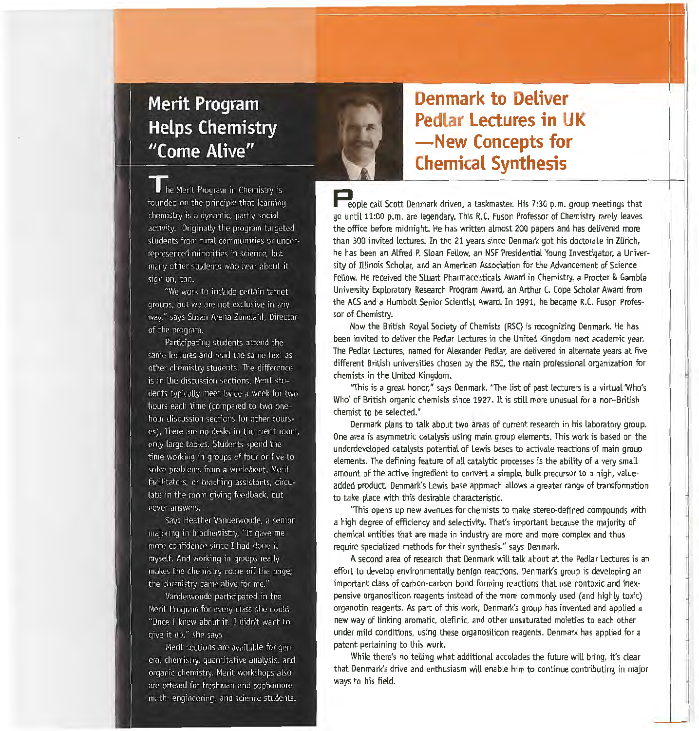# **Merit Program Helps Chemistry** "Come Alive"



**Denmark to Deliver Pedlar Lectures in UK -New Concepts for Chemical Synthesis** 

People call Scott Denmark driven, a taskmaster. His 7:30 p.m. group meetings that go until 11:00 p.m. are legendary. This R.C. Fuson Professor of Chemistry rarely leaves the office before midnight. He has written almost 200 papers and has delivered more than 300 invited lectures. In the 21 years since Denmark got his doctorate in ZUrich, he has been an Alfred P. Sloan Fellow, an NSF Presidential Young Investigator, a University of Illinois Scholar, and an American Association for the Advancement of Science Fellow. He received the Stuart Pharmaceuticals Award in Chemistry, a Procter & Gamble University Exploratory Research Program Award, an Arthur C. Cope Scholar Award from the ACS and a Humbolt Senior Scientist Award. In 1991, he became R.C. Fuson Professor of Chemistry.

Now the British Royal Society of Chemists (RSC} is recognizing Denmark. He has been invited to deliver the Pedlar Lectures in the United Kingdom next academic year. The Pedlar Lectures, named for Alexander Pedlar, are delivered in alternate years at five different British universities chosen by the RSC, the main professional organization for chemists in the United Kingdom.

"This is a great honor," says Denmark. "The list of past lecturers is a virtual 'Who's Who' of British organic chemists since 1927. It is still more unusual for a non-British chemist to be selected."

Denmark plans to talk about two areas of current research in his laboratory group. One area is asymmetric catalysis using main group elements. This work is based on the underdeveloped catalysts potential of Lewis bases to activate reactions of main group elements. The defining feature of all catalytic processes is the ability of a very small amount of the active ingredient to convert a simple, bulk precursor to a high, valueadded product. Denmark's Lewis base approach allows a greater range of transformation to take place with this desirable characteristic.

"This opens up new avenues for chemists to make stereo-defined compounds with a high degree of efficiency and selectivity. That's important because the majority of chemical entities that are made in industry are more and more complex and thus require specialized methods for their synthesis." says Denmark.

A second area of research that Denmark will talk about at the Pedlar Lectures is an effort to develop environmentally benign reactions. Denmark's group is developing an important class of carbon-carbon bond forming reactions that use nontoxic and inexpensive organosilicon reagents instead of the more commonly used (and highly toxic} organotin reagents. As part of this work, Denmark's group has invented and applied a new way of linking aromatic, olefinic, and other unsaturated moieties to each other under mild conditions, using these organosilicon reagents. Denmark has applied for a patent pertaining to this work.

While there's no telling what additional accolades the future will bring, it's clear that Denmark's drive and enthusiasm wilt enable him to continue contributing in major ways to his field.

he Merit Program in Chemistry is founded on the principle that learning chemistry is a dynamic, partly social activity. Originally the program targeted students from rural communities or underrepresented minorities in science, but many other students who hear about it sign on, too.

"We work to include certain target groups, but we are not exclusive in any way," says Susan Arena Zumdahl, Director of the program.

Participating students attend the same lectures and read the same text as other chemistry students. The difference is in the discussion sections. Ment students typically meet twice a week for two hours each time (compared to two onehour discussion sections for other courses). There are no desks in the merit room, only large tables. Students spend the time working in groups of four or five to solve problems from a worksheet. Merit facilitators, or teaching assistants, circutate in the room giving feedback, but never answers.

Says Heather Vanderwoude, a senior majoring in biochemistry, "It gave me more confidence since I had done it myself. And working in groups really makes the chemistry come off the page; the chemistry came alive for me."

Vanderwoude participated in the Merit Program for every class she could. "Once I knew about it, I didn't want to give it up," she says.

Merit sections are available for general chemistry, quantitative analysis, and organic chemistry. Merit workshops also are offered for freshman and sophomore math, engineering, and science students.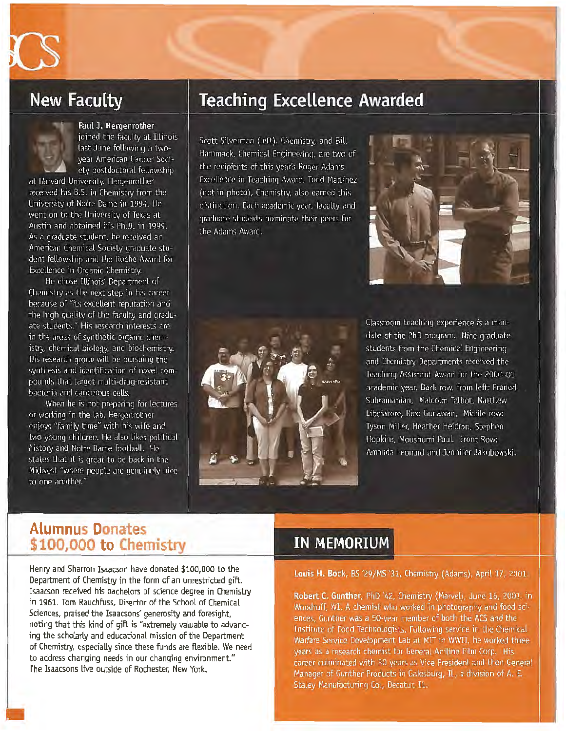# **New Faculty**



### Paul J. Hergenrother

joined the faculty at Illinois last June following a twovear American Cancer Society postdoctoral fellowship at Harvard University. Hergenrother

received his B.S. in Chemistry from the University of Notre Dame in 1994. He went on to the University of Texas at Austin and obtained his Ph.D. in 1999. As a graduate student, he received an American Chemical Society graduate student fellowship and the Roche Award for Excellence in Organic Chemistry.

He chose Illinois' Department of Chemistry as the next step in his career because of "its excellent reputation and the high quality of the faculty and graduate students." His research interests are in the areas of synthetic organic chemistry, chemical biology, and biochemistry. His research group will be pursuing the synthesis and identification of novel compounds that target multi-drug-resistant bacteria and cancerous cells.

When he is not preparing for lectures or working in the lab. Hergenrother enjoys "family time" with his wife and two young children. He also likes political history and Notre Dame football. He states that it is great to be back in the Midwest "where people are genuinely nice to one another."

## **Teaching Excellence Awarded**

Scott Silverman (left), Chemistry, and Bill Hammack, Chemical Engineering, are two of the recipients of this year's Roger Adams Excellence in Teaching Award. Todd Martinez (not in photo), Chemistry, also earned this distinction. Each academic year, faculty and graduate students nominate their peers for the Adams Award.





Classroom teaching experience is a mandate of the PhD program. Nine graduate students from the Chemical Engineering and Chemistry Departments received the Teaching Assistant Award for the 2000-01 academic year. Back row, from left: Pranod Subramanian, Malcolm Talbot, Matthew Libeiatore, Rico Gunawan. Middle row: Tyson Miller, Heather Heidron, Stephen Hopkins, Moushumi Paul. Front Row: Amanda Leonard and Jennifer Jakubowski.

### **Alumnus Donates \$100,000 to Chemistry**

Henry and Sharron Isaacson have donated \$100,000 to the Department of Chemistry in the form of an unrestricted gift. Isaacson received his bachelors of science degree in Chemistry in 1961. Tom Rauchfuss, Director of the School of Chemical Sciences, praised the Isaacsons' generosity and foresight, noting that this kind of gift is "extremely valuable to advancing the scholarly and educational mission of the Department of Chemistry, especially since these funds are flexible. We need to address changing needs in our changing environment." The Isaacsons live outside of Rochester, New York.

### **IN MEMORIUM**

Louis H. Bock, BS '29/MS '31, Chemistry (Adams), April 17, 2001.

Robert C. Gunther, PhD '42, Chemistry (Marvel), June 16, 2001, in Woodruff, WI. A chemist who worked in photography and food sciences. Gunther was a 50-year member of both the ACS and the Institute of Food Technologists, Following service in the Chemical Warfare Service Development Lab at MIT in WWII, he worked three years as a research chemist for General Aniline Film Corp. His career culminated with 30 years as Vice President and then General Manager of Gunther Products in Galesburg, IL, a division of A. E. Staley Manufacturing Co., Decatur, IL.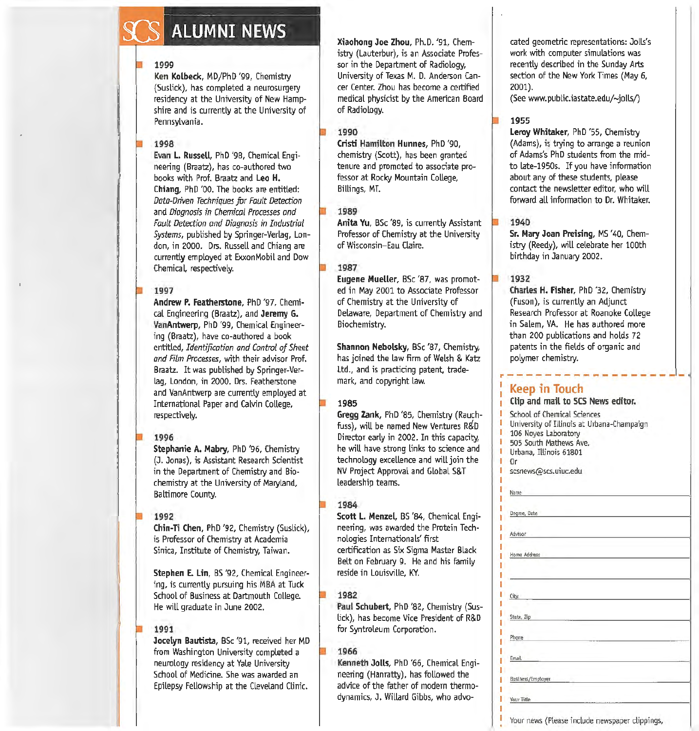# **ALUMNI NEWS**

#### 1999

Ken Kolbeck, MD/PhO '99, Chemistry (Suslick), has completed a neurosurgery residency at the University of New Hampshire and is currently at the University of Pennsylvania.

#### 1998

Evan L. Russell, PhD '98, Chemical Engineering (Braatz), has co-authored two books with Prof. Braatz and Leo H. Chiang, PhD '00. The books are entitled: *Data-Driven Techniques for Fault Detection*  and *Diagnosis in Chemical Processes and Fault Detection and Diagnosis in Industrial Systems,* published by Springer-Verlag, London, in 2000. Drs. Russell and Chiang are currently employed at ExxonMobil and Dow Chemical, respectively.

#### 1997

Andrew P. Featherstone, PhD '97, Chemical Engineering (Braatz), and Jeremy G. VanAntwerp, PhD '99, Chemical Engineering (Braatz), have co-authored a book entitled, *Identification and Control of Sheet and Film Processes,* with their advisor Prof. Braatz. It was published by Springer-Verlag, London, in 2000. Drs. Featherstone and VanAntwerp are currently employed at International Paper and Calvin College, respectively.

#### 1996

Stephanie A. Mabry, PhD '96, Chemistry (J. Jonas), is Assistant Research Scientist in the Department of Chemistry and Biochemistry at the University of Maryland, Baltimore County.

#### 1992

Chin-Ti Chen, PhD '92, Chemistry (Suslick), is Professor of Chemistry at Academia Sinica, Institute of Chemistry, Taiwan.

Stephen E. Lin, BS '92, Chemical Engineering, is currently pursuing his MBA at Tuck School of Business at Dartmouth College. He will graduate in June 2002.

#### 1991

Jocelyn Bautista, BSc '91, received her MD from Washington University completed a neurology residency at Yale University School of Medicine. She was awarded an Epilepsy Fellowship at the Cleveland Clinic.

Xiaohong Joe Zhou, Ph.D. '91, Chemistry (Lauterbur), is an Associate Professor in the Department of Radiology, University of Texas M. D. Anderson Cancer Center. Zhou has become a certified medical physicist by the American Board of Radiology.

#### 1990

Cristi Hamilton Hunnes, PhD '90, chemistry (Scott), has been granted tenure and promoted to assodate professor at Rocky Mountain College, Billings, MT.

#### 1989

Anita Yu, BSc '89, is currently Assistant Professor of Chemistry at the University of Wisconsin-Eau Claire.

#### 1987

Eugene Mueller, BSc '87, was promoted in May 2001 to Associate Professor of Chemistry at the University of Delaware, Department of Chemistry and Biochemistry.

Shannon Nebolsky, BSc '87, Chemistry, has joined the law firm of Welsh & Katz Ltd., and is practicing patent, trademark, and copyright law.

#### 1985

Gregg Zank, PhD '85, Chemistry (Rauchfuss), wiU be named New Ventures R&D Director early in 2002. In this capacity, he will have strong links to science and technology excellence and will join the NV Project Approval and Global S& T leadership teams.

#### 1984

Scott L. Menzel, BS '84, Chemical Engineering, was awarded the Protein Tech· nologies Internationals' first certification as Six Sigma Master Black Belt on February 9. He and his family reside in Louisville, KY.

#### 1982

Paul Schubert, PhD '82, Chemistry (Suslick), has become Vice President of R&D for Syntroleum Corporation.

#### 1966

Kenneth Jolts, PhD '66, Chemical Engineering (Hanratty), has followed the advice of the father of modern thermodynamics, J. Willard Gibbs, who advocated geometric representations: Jolts's work with computer simulations was recently described in the Sunday Arts section of the New York Times (May 6, 2001).

(See www.public.iastate.edu/-jolls/)

#### 1955

Leroy Whitaker, PhD '55, Chemistry (Adams), is trying to arrange a reunion of Adams's PhD students from the midto late-1950s. If you have information about any of these students, please contact the newsletter editor, who will forward all information to Dr. Whitaker.

#### 1940

Sr. Mary Joan Preising, MS '40, Chemistry (Reedy}, will celebrate her 100th birthday in January 2002.

#### 1932

Charles H. Fisher, PhD '32, Chemistry (Fuson), is currently an Adjunct Research Professor at Roanoke College in Salem, VA. He has authored more than 200 publications and holds 72 patents in the fields of organic and polymer chemistry.

#### r----------------------Keep in Touch

#### Clip and mail to SCS News editor.

- School of Chemical Sciences
- University of Hlinois at Urbana-Champaign
- 106 Noyes Laboratory
- 505 South Mathews Ave.
- Urbana, Illinois 61801
- Đ Or J

T

л п л

л

п

T

scsnews@scs.uiuc.edu

| Name and the company of the company of the company of the company of the company of                                                                                                                                           |  |
|-------------------------------------------------------------------------------------------------------------------------------------------------------------------------------------------------------------------------------|--|
| Degree, Date                                                                                                                                                                                                                  |  |
|                                                                                                                                                                                                                               |  |
| Advisor<br>the contract of the contract of the contract of                                                                                                                                                                    |  |
| Home Address                                                                                                                                                                                                                  |  |
|                                                                                                                                                                                                                               |  |
|                                                                                                                                                                                                                               |  |
| City, City, City, City, City, City, City, City, City, City, City, City, City, City, City, City, City, City, City, City, City, City, City, City, City, City, City, City, City, City, City, City, City, City, City, City, City, |  |
| State, Zip                                                                                                                                                                                                                    |  |
| Phone<br>the common control of the common                                                                                                                                                                                     |  |
| Email                                                                                                                                                                                                                         |  |
| <b>Business/Employer Exercise Control</b>                                                                                                                                                                                     |  |
| Your Title                                                                                                                                                                                                                    |  |